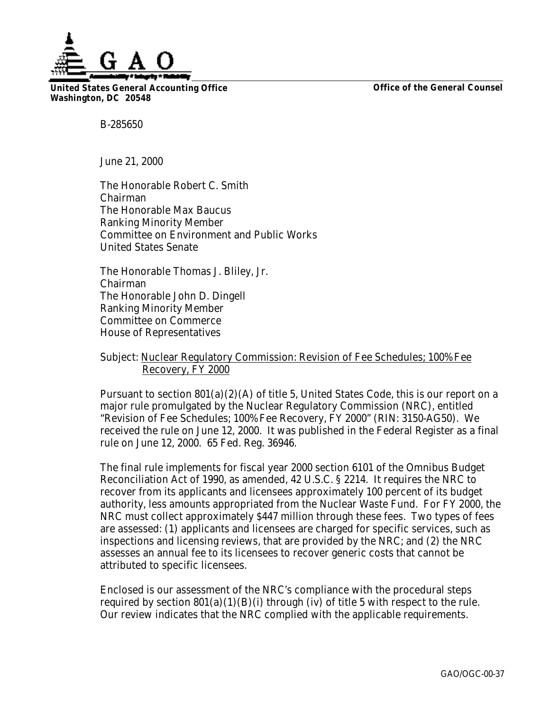

**United States General Accounting Office Washington, DC 20548**

**Office of the General Counsel**

B-285650

June 21, 2000

The Honorable Robert C. Smith Chairman The Honorable Max Baucus Ranking Minority Member Committee on Environment and Public Works United States Senate

The Honorable Thomas J. Bliley, Jr. Chairman The Honorable John D. Dingell Ranking Minority Member Committee on Commerce House of Representatives

## Subject: Nuclear Regulatory Commission: Revision of Fee Schedules; 100% Fee Recovery, FY 2000

Pursuant to section  $801(a)(2)(A)$  of title 5, United States Code, this is our report on a major rule promulgated by the Nuclear Regulatory Commission (NRC), entitled "Revision of Fee Schedules; 100% Fee Recovery, FY 2000" (RIN: 3150-AG50). We received the rule on June 12, 2000. It was published in the Federal Register as a final rule on June 12, 2000. 65 Fed. Reg. 36946.

The final rule implements for fiscal year 2000 section 6101 of the Omnibus Budget Reconciliation Act of 1990, as amended, 42 U.S.C. § 2214. It requires the NRC to recover from its applicants and licensees approximately 100 percent of its budget authority, less amounts appropriated from the Nuclear Waste Fund. For FY 2000, the NRC must collect approximately \$447 million through these fees. Two types of fees are assessed: (1) applicants and licensees are charged for specific services, such as inspections and licensing reviews, that are provided by the NRC; and (2) the NRC assesses an annual fee to its licensees to recover generic costs that cannot be attributed to specific licensees.

Enclosed is our assessment of the NRC's compliance with the procedural steps required by section  $801(a)(1)(B)(i)$  through (iv) of title 5 with respect to the rule. Our review indicates that the NRC complied with the applicable requirements.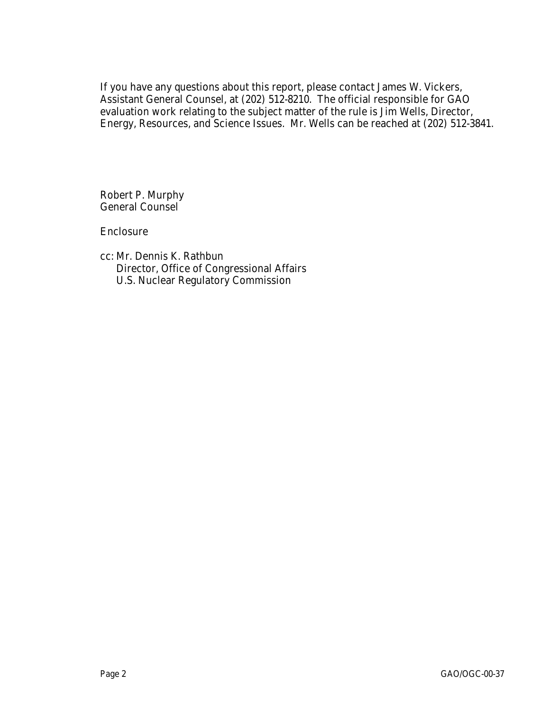If you have any questions about this report, please contact James W. Vickers, Assistant General Counsel, at (202) 512-8210. The official responsible for GAO evaluation work relating to the subject matter of the rule is Jim Wells, Director, Energy, Resources, and Science Issues. Mr. Wells can be reached at (202) 512-3841.

Robert P. Murphy General Counsel

Enclosure

cc: Mr. Dennis K. Rathbun Director, Office of Congressional Affairs U.S. Nuclear Regulatory Commission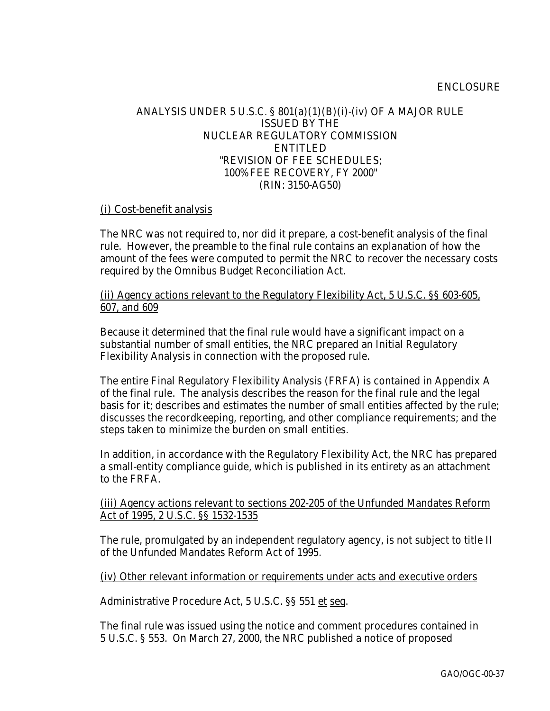## ENCLOSURE

## ANALYSIS UNDER 5 U.S.C. § 801(a)(1)(B)(i)-(iv) OF A MAJOR RULE ISSUED BY THE NUCLEAR REGULATORY COMMISSION ENTITLED "REVISION OF FEE SCHEDULES; 100% FEE RECOVERY, FY 2000" (RIN: 3150-AG50)

## (i) Cost-benefit analysis

The NRC was not required to, nor did it prepare, a cost-benefit analysis of the final rule. However, the preamble to the final rule contains an explanation of how the amount of the fees were computed to permit the NRC to recover the necessary costs required by the Omnibus Budget Reconciliation Act.

(ii) Agency actions relevant to the Regulatory Flexibility Act, 5 U.S.C. §§ 603-605, 607, and 609

Because it determined that the final rule would have a significant impact on a substantial number of small entities, the NRC prepared an Initial Regulatory Flexibility Analysis in connection with the proposed rule.

The entire Final Regulatory Flexibility Analysis (FRFA) is contained in Appendix A of the final rule. The analysis describes the reason for the final rule and the legal basis for it; describes and estimates the number of small entities affected by the rule; discusses the recordkeeping, reporting, and other compliance requirements; and the steps taken to minimize the burden on small entities.

In addition, in accordance with the Regulatory Flexibility Act, the NRC has prepared a small-entity compliance guide, which is published in its entirety as an attachment to the FRFA.

(iii) Agency actions relevant to sections 202-205 of the Unfunded Mandates Reform Act of 1995, 2 U.S.C. §§ 1532-1535

The rule, promulgated by an independent regulatory agency, is not subject to title II of the Unfunded Mandates Reform Act of 1995.

(iv) Other relevant information or requirements under acts and executive orders

Administrative Procedure Act, 5 U.S.C. §§ 551 et seq.

The final rule was issued using the notice and comment procedures contained in 5 U.S.C. § 553. On March 27, 2000, the NRC published a notice of proposed